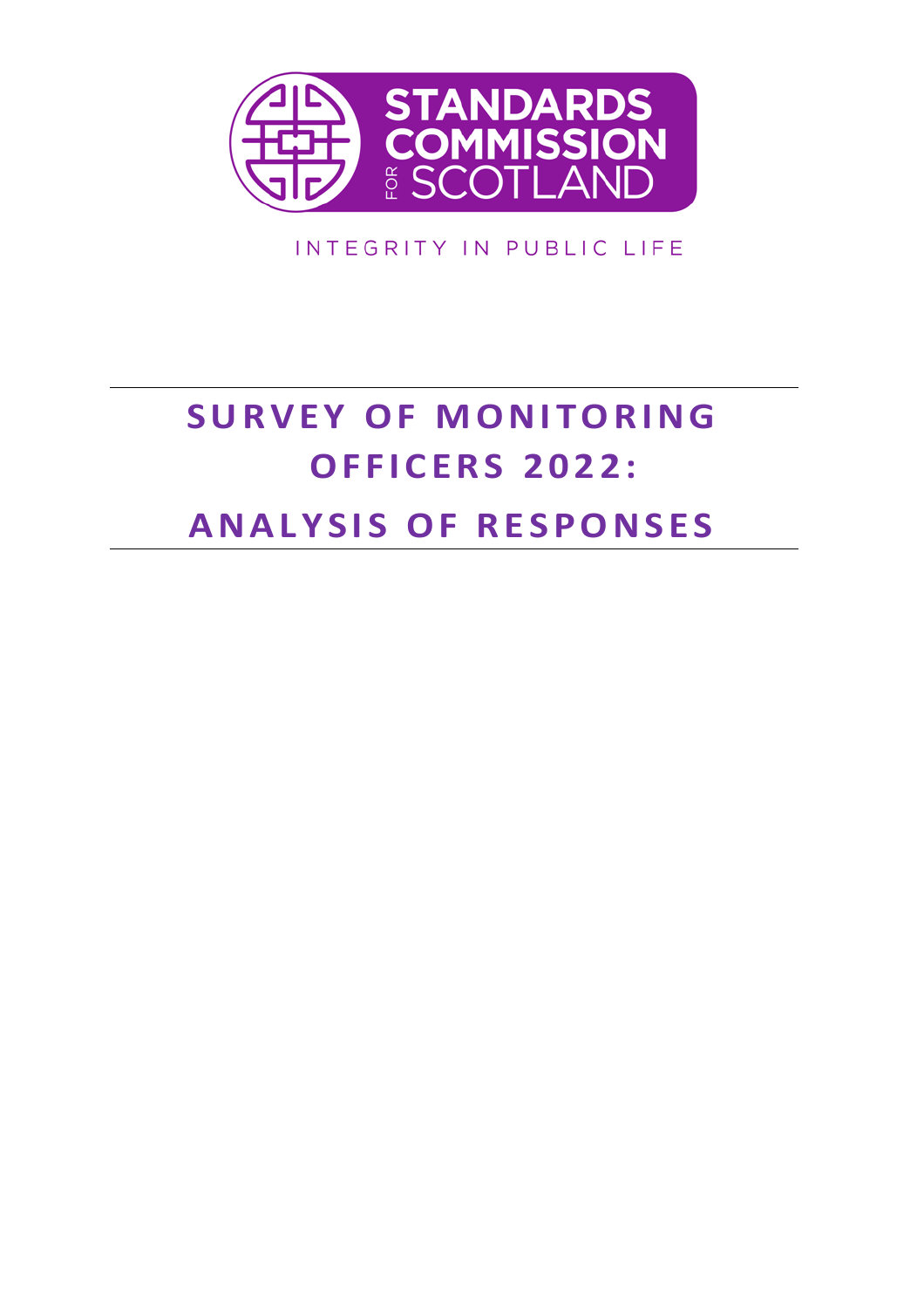

INTEGRITY IN PUBLIC LIFE

# **SURVEY OF MONITORING O F F I C E R S 2 0 2 2 : A N A L Y S I S O F R E S P O N S E S**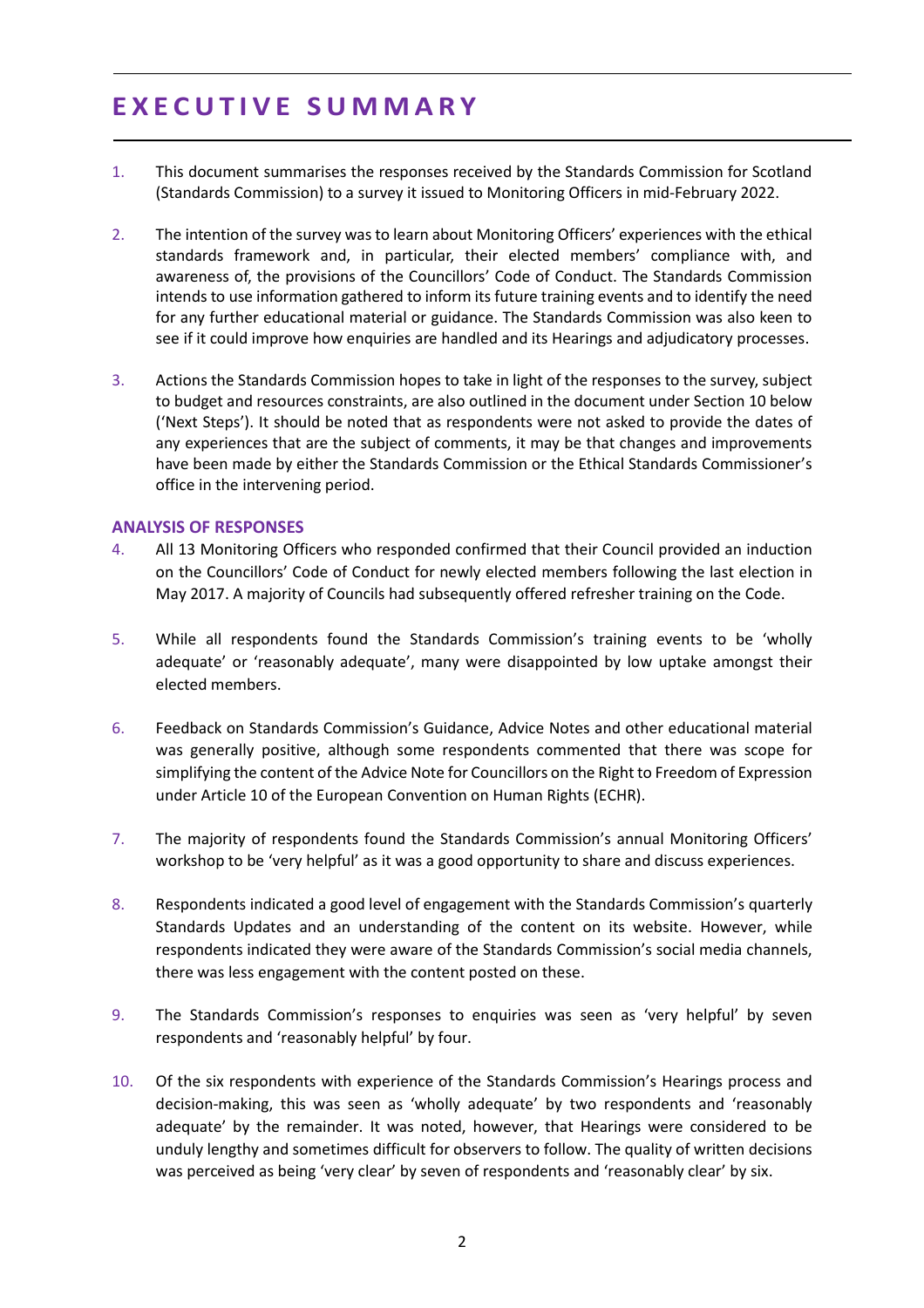# **E X E C U T I V E S U M M A R Y**

- 1. This document summarises the responses received by the Standards Commission for Scotland (Standards Commission) to a survey it issued to Monitoring Officers in mid-February 2022.
- 2. The intention of the survey was to learn about Monitoring Officers' experiences with the ethical standards framework and, in particular, their elected members' compliance with, and awareness of, the provisions of the Councillors' Code of Conduct. The Standards Commission intends to use information gathered to inform its future training events and to identify the need for any further educational material or guidance. The Standards Commission was also keen to see if it could improve how enquiries are handled and its Hearings and adjudicatory processes.
- 3. Actions the Standards Commission hopes to take in light of the responses to the survey, subject to budget and resources constraints, are also outlined in the document under Section 10 below ('Next Steps'). It should be noted that as respondents were not asked to provide the dates of any experiences that are the subject of comments, it may be that changes and improvements have been made by either the Standards Commission or the Ethical Standards Commissioner's office in the intervening period.

#### **ANALYSIS OF RESPONSES**

- 4. All 13 Monitoring Officers who responded confirmed that their Council provided an induction on the Councillors' Code of Conduct for newly elected members following the last election in May 2017. A majority of Councils had subsequently offered refresher training on the Code.
- 5. While all respondents found the Standards Commission's training events to be 'wholly adequate' or 'reasonably adequate', many were disappointed by low uptake amongst their elected members.
- 6. Feedback on Standards Commission's Guidance, Advice Notes and other educational material was generally positive, although some respondents commented that there was scope for simplifying the content of the Advice Note for Councillors on the Right to Freedom of Expression under Article 10 of the European Convention on Human Rights (ECHR).
- 7. The majority of respondents found the Standards Commission's annual Monitoring Officers' workshop to be 'very helpful' as it was a good opportunity to share and discuss experiences.
- 8. Respondents indicated a good level of engagement with the Standards Commission's quarterly Standards Updates and an understanding of the content on its website. However, while respondents indicated they were aware of the Standards Commission's social media channels, there was less engagement with the content posted on these.
- 9. The Standards Commission's responses to enquiries was seen as 'very helpful' by seven respondents and 'reasonably helpful' by four.
- 10. Of the six respondents with experience of the Standards Commission's Hearings process and decision-making, this was seen as 'wholly adequate' by two respondents and 'reasonably adequate' by the remainder. It was noted, however, that Hearings were considered to be unduly lengthy and sometimes difficult for observers to follow. The quality of written decisions was perceived as being 'very clear' by seven of respondents and 'reasonably clear' by six.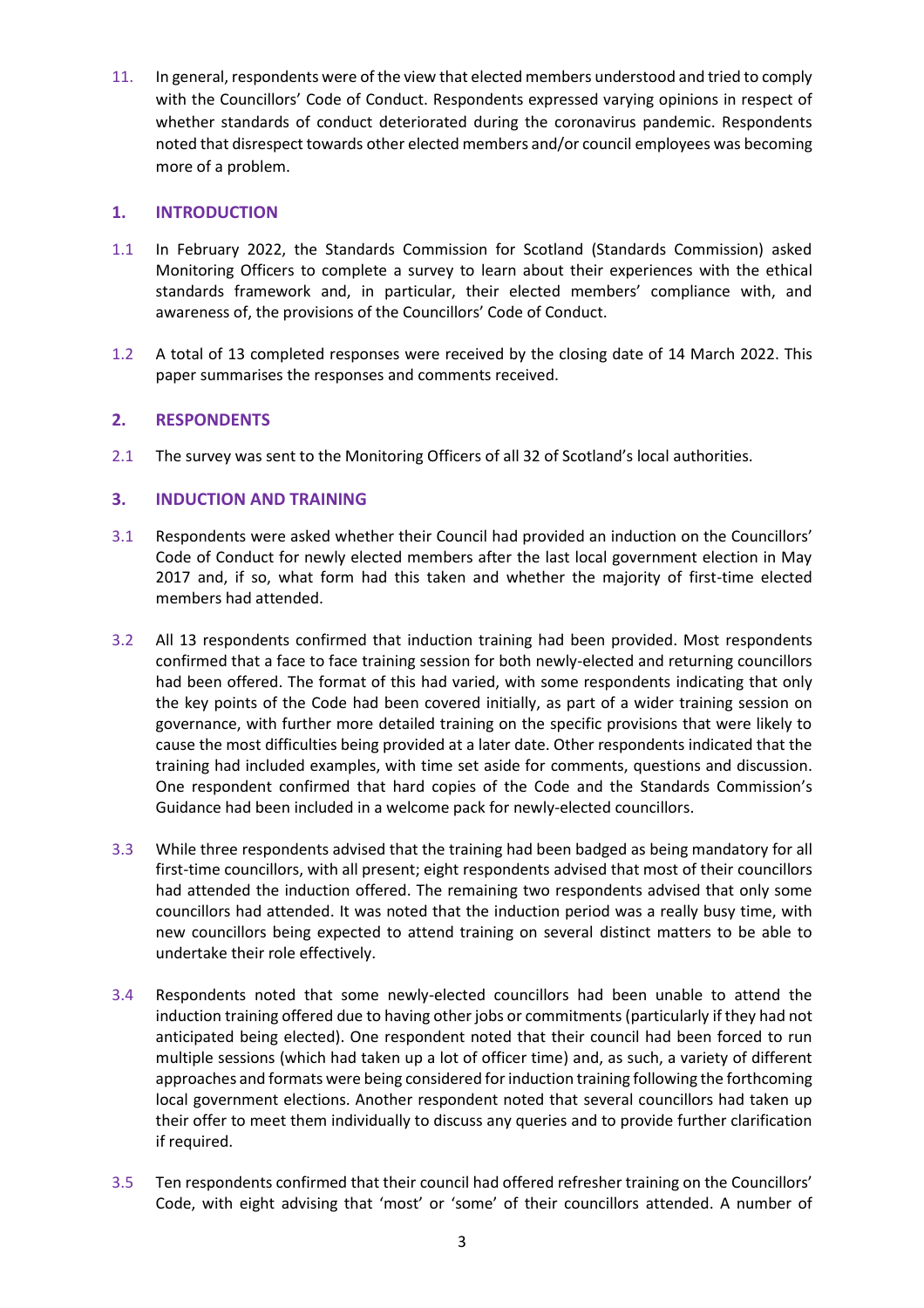11. In general, respondents were of the view that elected members understood and tried to comply with the Councillors' Code of Conduct. Respondents expressed varying opinions in respect of whether standards of conduct deteriorated during the coronavirus pandemic. Respondents noted that disrespect towards other elected members and/or council employees was becoming more of a problem.

# **1. INTRODUCTION**

- 1.1 In February 2022, the Standards Commission for Scotland (Standards Commission) asked Monitoring Officers to complete a survey to learn about their experiences with the ethical standards framework and, in particular, their elected members' compliance with, and awareness of, the provisions of the Councillors' Code of Conduct.
- 1.2 A total of 13 completed responses were received by the closing date of 14 March 2022. This paper summarises the responses and comments received.

# **2. RESPONDENTS**

2.1 The survey was sent to the Monitoring Officers of all 32 of Scotland's local authorities.

# **3. INDUCTION AND TRAINING**

- 3.1 Respondents were asked whether their Council had provided an induction on the Councillors' Code of Conduct for newly elected members after the last local government election in May 2017 and, if so, what form had this taken and whether the majority of first-time elected members had attended.
- 3.2 All 13 respondents confirmed that induction training had been provided. Most respondents confirmed that a face to face training session for both newly-elected and returning councillors had been offered. The format of this had varied, with some respondents indicating that only the key points of the Code had been covered initially, as part of a wider training session on governance, with further more detailed training on the specific provisions that were likely to cause the most difficulties being provided at a later date. Other respondents indicated that the training had included examples, with time set aside for comments, questions and discussion. One respondent confirmed that hard copies of the Code and the Standards Commission's Guidance had been included in a welcome pack for newly-elected councillors.
- 3.3 While three respondents advised that the training had been badged as being mandatory for all first-time councillors, with all present; eight respondents advised that most of their councillors had attended the induction offered. The remaining two respondents advised that only some councillors had attended. It was noted that the induction period was a really busy time, with new councillors being expected to attend training on several distinct matters to be able to undertake their role effectively.
- 3.4 Respondents noted that some newly-elected councillors had been unable to attend the induction training offered due to having other jobs or commitments (particularly if they had not anticipated being elected). One respondent noted that their council had been forced to run multiple sessions (which had taken up a lot of officer time) and, as such, a variety of different approaches and formats were being considered for induction training following the forthcoming local government elections. Another respondent noted that several councillors had taken up their offer to meet them individually to discuss any queries and to provide further clarification if required.
- 3.5 Ten respondents confirmed that their council had offered refresher training on the Councillors' Code, with eight advising that 'most' or 'some' of their councillors attended. A number of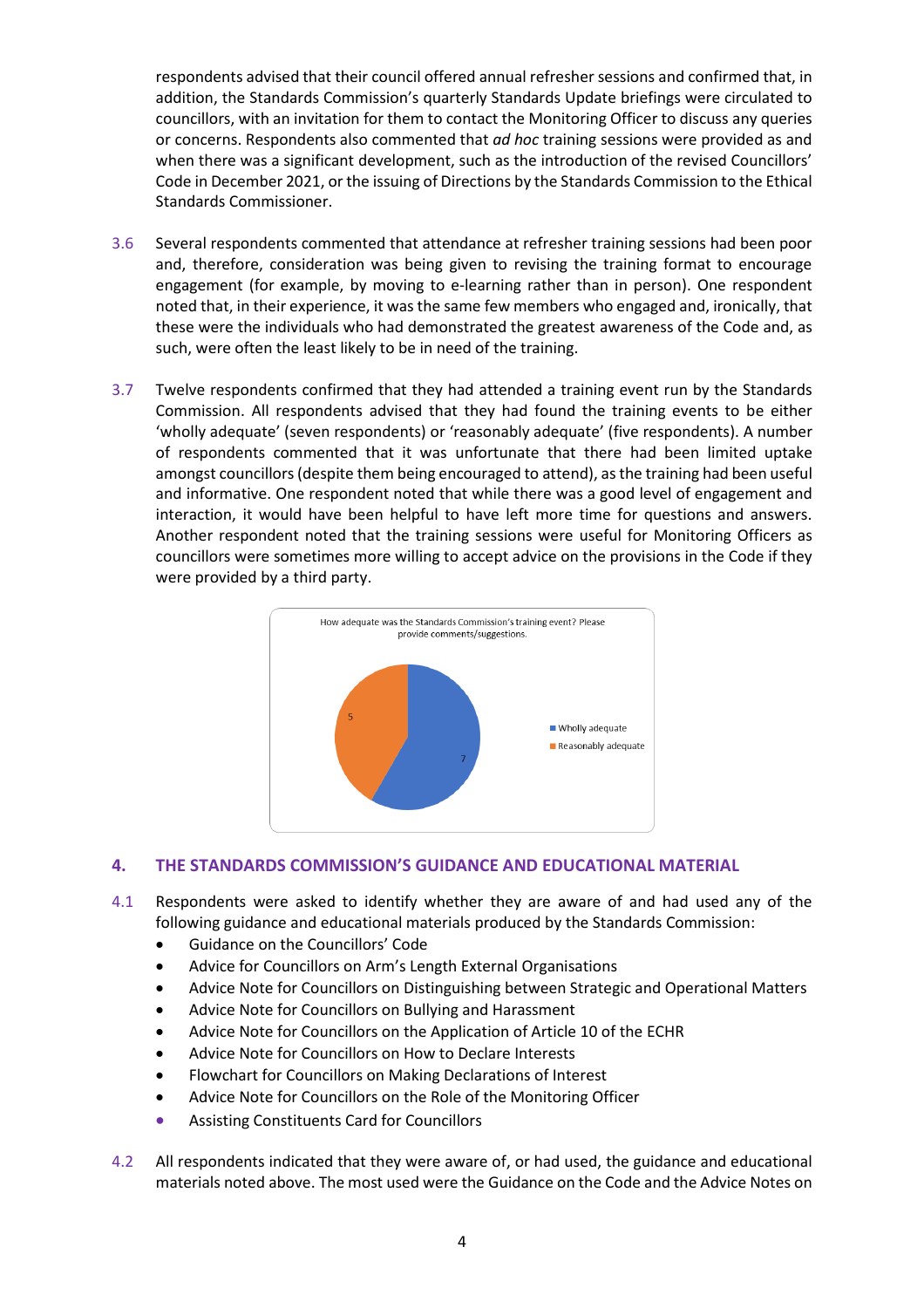respondents advised that their council offered annual refresher sessions and confirmed that, in addition, the Standards Commission's quarterly Standards Update briefings were circulated to councillors, with an invitation for them to contact the Monitoring Officer to discuss any queries or concerns. Respondents also commented that *ad hoc* training sessions were provided as and when there was a significant development, such as the introduction of the revised Councillors' Code in December 2021, or the issuing of Directions by the Standards Commission to the Ethical Standards Commissioner.

- 3.6 Several respondents commented that attendance at refresher training sessions had been poor and, therefore, consideration was being given to revising the training format to encourage engagement (for example, by moving to e-learning rather than in person). One respondent noted that, in their experience, it was the same few members who engaged and, ironically, that these were the individuals who had demonstrated the greatest awareness of the Code and, as such, were often the least likely to be in need of the training.
- 3.7 Twelve respondents confirmed that they had attended a training event run by the Standards Commission. All respondents advised that they had found the training events to be either 'wholly adequate' (seven respondents) or 'reasonably adequate' (five respondents). A number of respondents commented that it was unfortunate that there had been limited uptake amongst councillors (despite them being encouraged to attend), as the training had been useful and informative. One respondent noted that while there was a good level of engagement and interaction, it would have been helpful to have left more time for questions and answers. Another respondent noted that the training sessions were useful for Monitoring Officers as councillors were sometimes more willing to accept advice on the provisions in the Code if they were provided by a third party.



# **4. THE STANDARDS COMMISSION'S GUIDANCE AND EDUCATIONAL MATERIAL**

- 4.1 Respondents were asked to identify whether they are aware of and had used any of the following guidance and educational materials produced by the Standards Commission:
	- Guidance on the Councillors' Code
	- Advice for Councillors on Arm's Length External Organisations
	- Advice Note for Councillors on Distinguishing between Strategic and Operational Matters
	- Advice Note for Councillors on Bullying and Harassment
	- Advice Note for Councillors on the Application of Article 10 of the ECHR
	- Advice Note for Councillors on How to Declare Interests
	- Flowchart for Councillors on Making Declarations of Interest
	- Advice Note for Councillors on the Role of the Monitoring Officer
	- Assisting Constituents Card for Councillors
- 4.2 All respondents indicated that they were aware of, or had used, the guidance and educational materials noted above. The most used were the Guidance on the Code and the Advice Notes on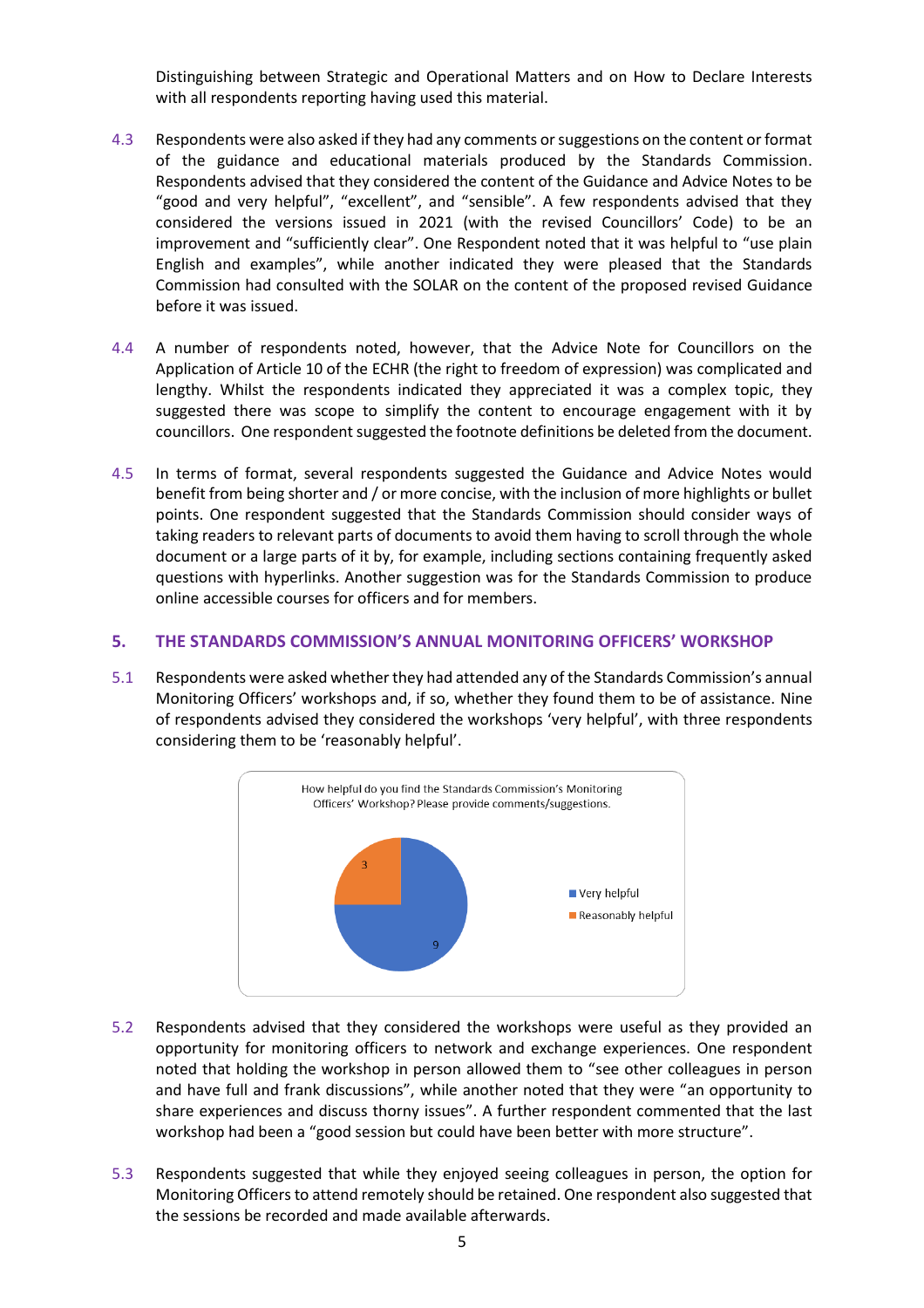Distinguishing between Strategic and Operational Matters and on How to Declare Interests with all respondents reporting having used this material.

- 4.3 Respondents were also asked if they had any comments or suggestions on the content or format of the guidance and educational materials produced by the Standards Commission. Respondents advised that they considered the content of the Guidance and Advice Notes to be "good and very helpful", "excellent", and "sensible". A few respondents advised that they considered the versions issued in 2021 (with the revised Councillors' Code) to be an improvement and "sufficiently clear". One Respondent noted that it was helpful to "use plain English and examples", while another indicated they were pleased that the Standards Commission had consulted with the SOLAR on the content of the proposed revised Guidance before it was issued.
- 4.4 A number of respondents noted, however, that the Advice Note for Councillors on the Application of Article 10 of the ECHR (the right to freedom of expression) was complicated and lengthy. Whilst the respondents indicated they appreciated it was a complex topic, they suggested there was scope to simplify the content to encourage engagement with it by councillors. One respondent suggested the footnote definitions be deleted from the document.
- 4.5 In terms of format, several respondents suggested the Guidance and Advice Notes would benefit from being shorter and / or more concise, with the inclusion of more highlights or bullet points. One respondent suggested that the Standards Commission should consider ways of taking readers to relevant parts of documents to avoid them having to scroll through the whole document or a large parts of it by, for example, including sections containing frequently asked questions with hyperlinks. Another suggestion was for the Standards Commission to produce online accessible courses for officers and for members.

#### **5. THE STANDARDS COMMISSION'S ANNUAL MONITORING OFFICERS' WORKSHOP**

5.1 Respondents were asked whether they had attended any of the Standards Commission's annual Monitoring Officers' workshops and, if so, whether they found them to be of assistance. Nine of respondents advised they considered the workshops 'very helpful', with three respondents considering them to be 'reasonably helpful'.



- 5.2 Respondents advised that they considered the workshops were useful as they provided an opportunity for monitoring officers to network and exchange experiences. One respondent noted that holding the workshop in person allowed them to "see other colleagues in person and have full and frank discussions", while another noted that they were "an opportunity to share experiences and discuss thorny issues". A further respondent commented that the last workshop had been a "good session but could have been better with more structure".
- 5.3 Respondents suggested that while they enjoyed seeing colleagues in person, the option for Monitoring Officers to attend remotely should be retained. One respondent also suggested that the sessions be recorded and made available afterwards.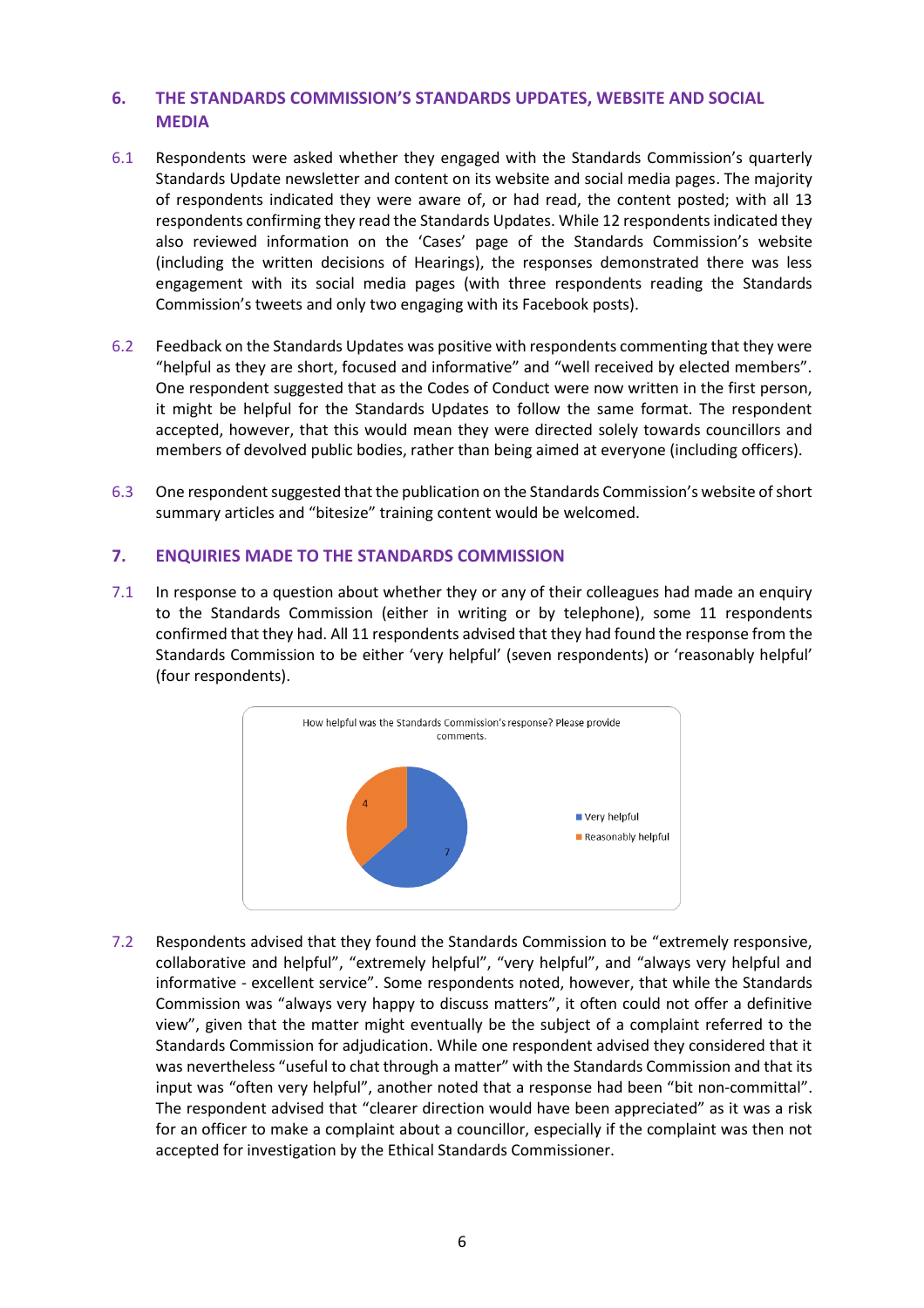## **6. THE STANDARDS COMMISSION'S STANDARDS UPDATES, WEBSITE AND SOCIAL MEDIA**

- 6.1 Respondents were asked whether they engaged with the Standards Commission's quarterly Standards Update newsletter and content on its website and social media pages. The majority of respondents indicated they were aware of, or had read, the content posted; with all 13 respondents confirming they read the Standards Updates. While 12 respondents indicated they also reviewed information on the 'Cases' page of the Standards Commission's website (including the written decisions of Hearings), the responses demonstrated there was less engagement with its social media pages (with three respondents reading the Standards Commission's tweets and only two engaging with its Facebook posts).
- 6.2 Feedback on the Standards Updates was positive with respondents commenting that they were "helpful as they are short, focused and informative" and "well received by elected members". One respondent suggested that as the Codes of Conduct were now written in the first person, it might be helpful for the Standards Updates to follow the same format. The respondent accepted, however, that this would mean they were directed solely towards councillors and members of devolved public bodies, rather than being aimed at everyone (including officers).
- 6.3 One respondent suggested that the publication on the Standards Commission's website of short summary articles and "bitesize" training content would be welcomed.

#### **7. ENQUIRIES MADE TO THE STANDARDS COMMISSION**

7.1 In response to a question about whether they or any of their colleagues had made an enquiry to the Standards Commission (either in writing or by telephone), some 11 respondents confirmed that they had. All 11 respondents advised that they had found the response from the Standards Commission to be either 'very helpful' (seven respondents) or 'reasonably helpful' (four respondents).



7.2 Respondents advised that they found the Standards Commission to be "extremely responsive, collaborative and helpful", "extremely helpful", "very helpful", and "always very helpful and informative - excellent service". Some respondents noted, however, that while the Standards Commission was "always very happy to discuss matters", it often could not offer a definitive view", given that the matter might eventually be the subject of a complaint referred to the Standards Commission for adjudication. While one respondent advised they considered that it was nevertheless "useful to chat through a matter" with the Standards Commission and that its input was "often very helpful", another noted that a response had been "bit non-committal". The respondent advised that "clearer direction would have been appreciated" as it was a risk for an officer to make a complaint about a councillor, especially if the complaint was then not accepted for investigation by the Ethical Standards Commissioner.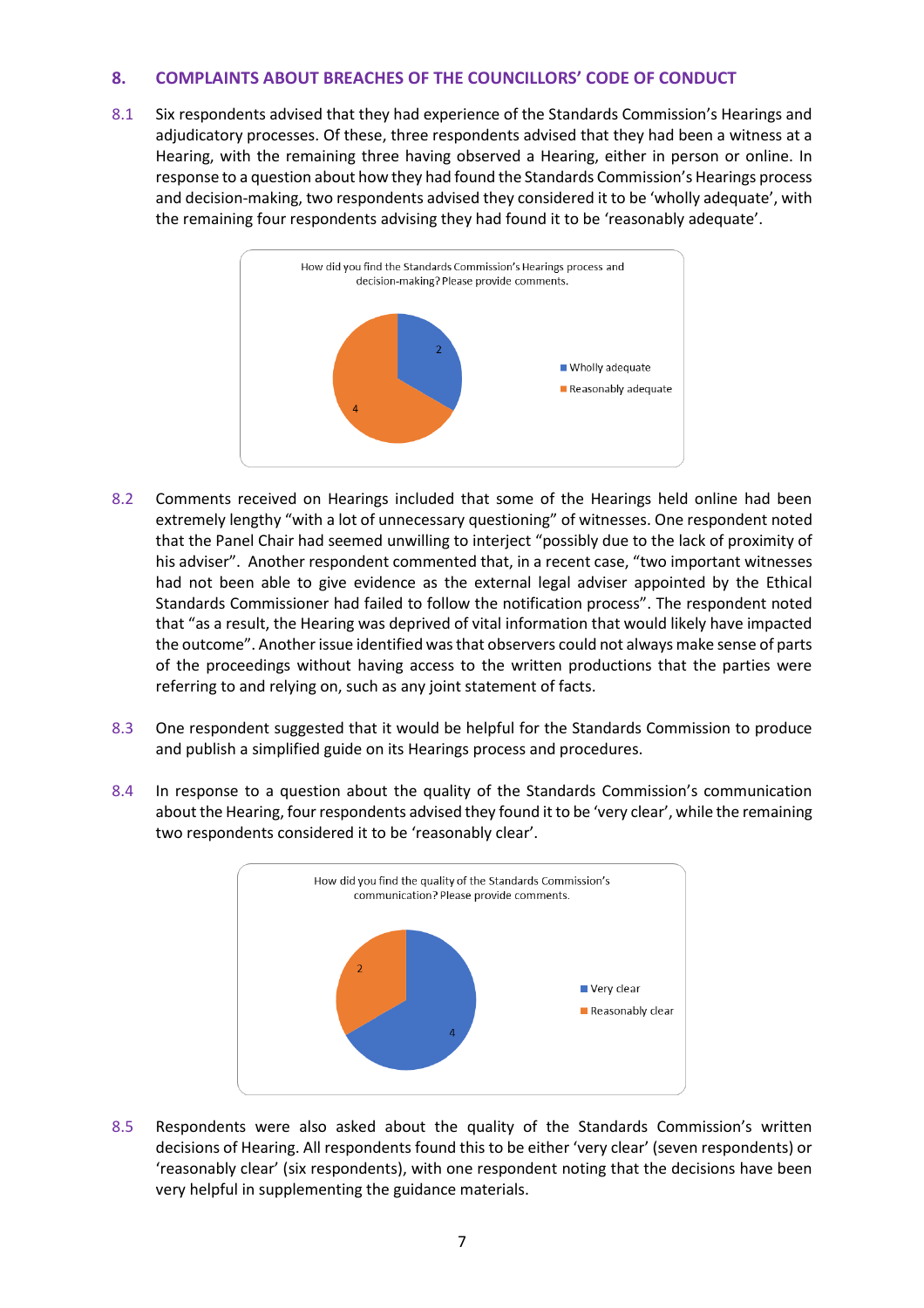# **8. COMPLAINTS ABOUT BREACHES OF THE COUNCILLORS' CODE OF CONDUCT**

8.1 Six respondents advised that they had experience of the Standards Commission's Hearings and adjudicatory processes. Of these, three respondents advised that they had been a witness at a Hearing, with the remaining three having observed a Hearing, either in person or online. In response to a question about how they had found the Standards Commission's Hearings process and decision-making, two respondents advised they considered it to be 'wholly adequate', with the remaining four respondents advising they had found it to be 'reasonably adequate'.



- 8.2 Comments received on Hearings included that some of the Hearings held online had been extremely lengthy "with a lot of unnecessary questioning" of witnesses. One respondent noted that the Panel Chair had seemed unwilling to interject "possibly due to the lack of proximity of his adviser". Another respondent commented that, in a recent case, "two important witnesses had not been able to give evidence as the external legal adviser appointed by the Ethical Standards Commissioner had failed to follow the notification process". The respondent noted that "as a result, the Hearing was deprived of vital information that would likely have impacted the outcome". Another issue identified was that observers could not always make sense of parts of the proceedings without having access to the written productions that the parties were referring to and relying on, such as any joint statement of facts.
- 8.3 One respondent suggested that it would be helpful for the Standards Commission to produce and publish a simplified guide on its Hearings process and procedures.
- 8.4 In response to a question about the quality of the Standards Commission's communication about the Hearing, four respondents advised they found it to be 'very clear', while the remaining two respondents considered it to be 'reasonably clear'.



8.5 Respondents were also asked about the quality of the Standards Commission's written decisions of Hearing. All respondents found this to be either 'very clear' (seven respondents) or 'reasonably clear' (six respondents), with one respondent noting that the decisions have been very helpful in supplementing the guidance materials.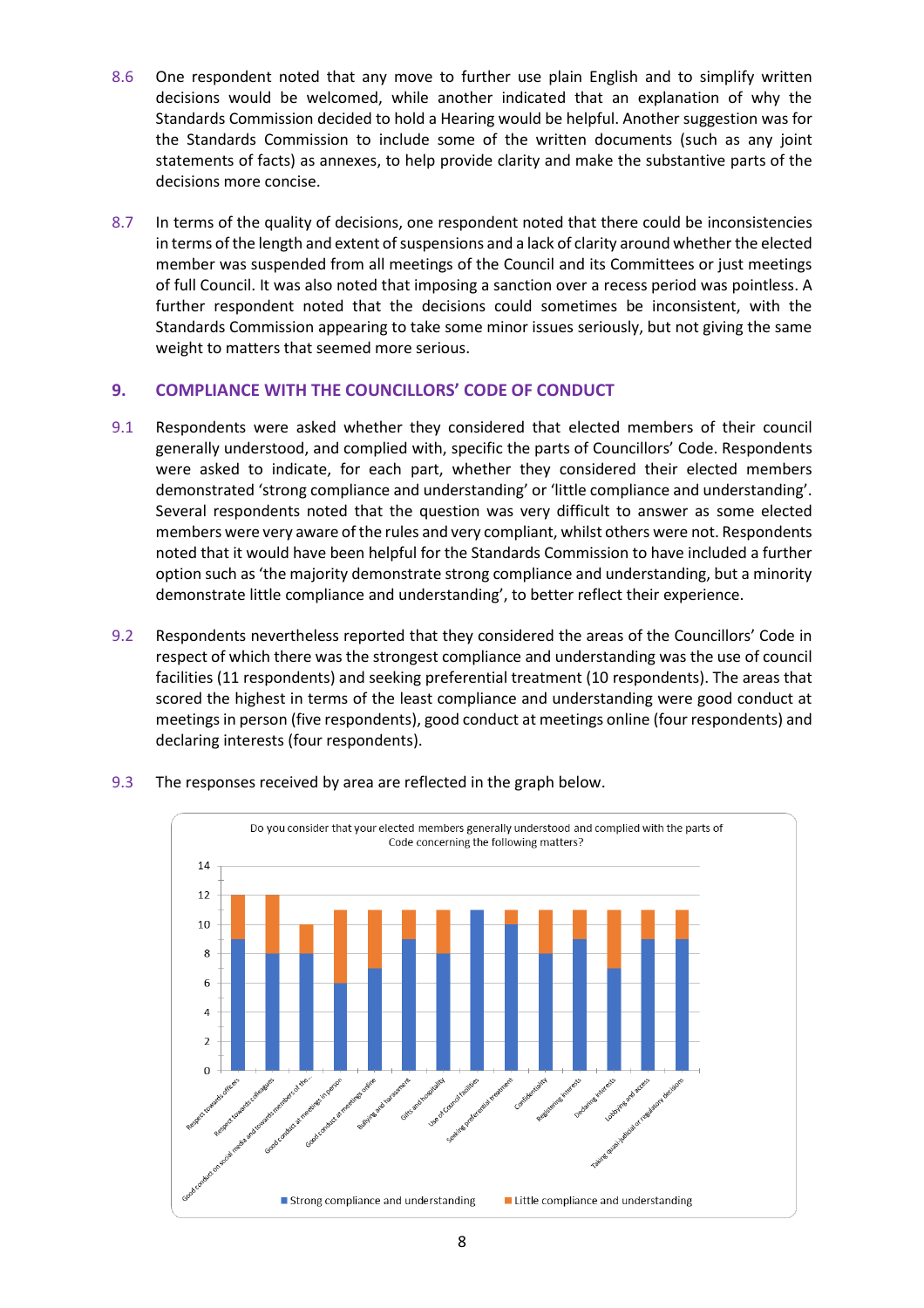- 8.6 One respondent noted that any move to further use plain English and to simplify written decisions would be welcomed, while another indicated that an explanation of why the Standards Commission decided to hold a Hearing would be helpful. Another suggestion was for the Standards Commission to include some of the written documents (such as any joint statements of facts) as annexes, to help provide clarity and make the substantive parts of the decisions more concise.
- 8.7 In terms of the quality of decisions, one respondent noted that there could be inconsistencies in terms of the length and extent of suspensions and a lack of clarity around whether the elected member was suspended from all meetings of the Council and its Committees or just meetings of full Council. It was also noted that imposing a sanction over a recess period was pointless. A further respondent noted that the decisions could sometimes be inconsistent, with the Standards Commission appearing to take some minor issues seriously, but not giving the same weight to matters that seemed more serious.

# **9. COMPLIANCE WITH THE COUNCILLORS' CODE OF CONDUCT**

- 9.1 Respondents were asked whether they considered that elected members of their council generally understood, and complied with, specific the parts of Councillors' Code. Respondents were asked to indicate, for each part, whether they considered their elected members demonstrated 'strong compliance and understanding' or 'little compliance and understanding'. Several respondents noted that the question was very difficult to answer as some elected members were very aware of the rules and very compliant, whilst others were not. Respondents noted that it would have been helpful for the Standards Commission to have included a further option such as 'the majority demonstrate strong compliance and understanding, but a minority demonstrate little compliance and understanding', to better reflect their experience.
- 9.2 Respondents nevertheless reported that they considered the areas of the Councillors' Code in respect of which there was the strongest compliance and understanding was the use of council facilities (11 respondents) and seeking preferential treatment (10 respondents). The areas that scored the highest in terms of the least compliance and understanding were good conduct at meetings in person (five respondents), good conduct at meetings online (four respondents) and declaring interests (four respondents).



9.3 The responses received by area are reflected in the graph below.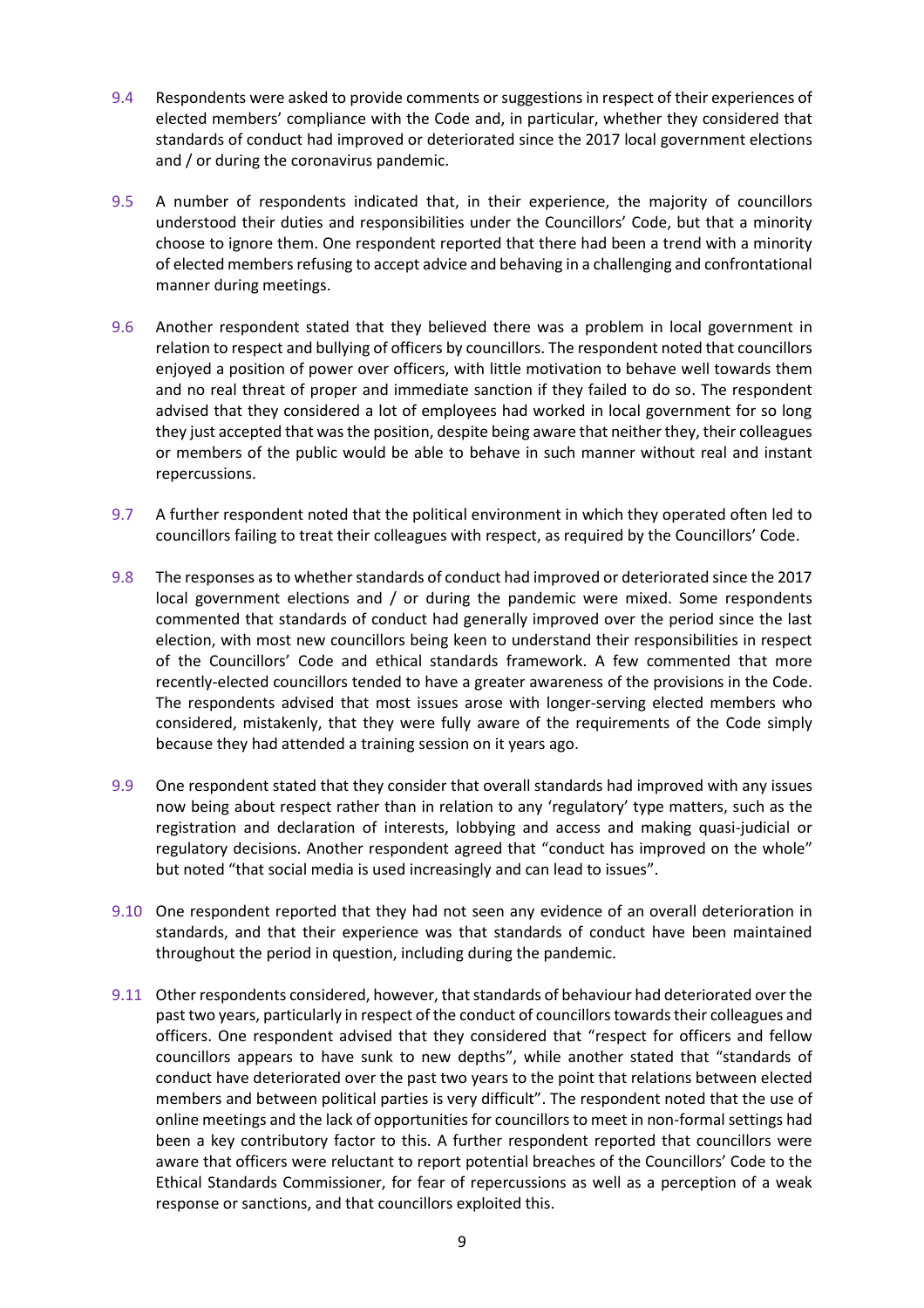- 9.4 Respondents were asked to provide comments or suggestions in respect of their experiences of elected members' compliance with the Code and, in particular, whether they considered that standards of conduct had improved or deteriorated since the 2017 local government elections and / or during the coronavirus pandemic.
- 9.5 A number of respondents indicated that, in their experience, the majority of councillors understood their duties and responsibilities under the Councillors' Code, but that a minority choose to ignore them. One respondent reported that there had been a trend with a minority of elected members refusing to accept advice and behaving in a challenging and confrontational manner during meetings.
- 9.6 Another respondent stated that they believed there was a problem in local government in relation to respect and bullying of officers by councillors. The respondent noted that councillors enjoyed a position of power over officers, with little motivation to behave well towards them and no real threat of proper and immediate sanction if they failed to do so. The respondent advised that they considered a lot of employees had worked in local government for so long they just accepted that was the position, despite being aware that neither they, their colleagues or members of the public would be able to behave in such manner without real and instant repercussions.
- 9.7 A further respondent noted that the political environment in which they operated often led to councillors failing to treat their colleagues with respect, as required by the Councillors' Code.
- 9.8 The responses as to whether standards of conduct had improved or deteriorated since the 2017 local government elections and / or during the pandemic were mixed. Some respondents commented that standards of conduct had generally improved over the period since the last election, with most new councillors being keen to understand their responsibilities in respect of the Councillors' Code and ethical standards framework. A few commented that more recently-elected councillors tended to have a greater awareness of the provisions in the Code. The respondents advised that most issues arose with longer-serving elected members who considered, mistakenly, that they were fully aware of the requirements of the Code simply because they had attended a training session on it years ago.
- 9.9 One respondent stated that they consider that overall standards had improved with any issues now being about respect rather than in relation to any 'regulatory' type matters, such as the registration and declaration of interests, lobbying and access and making quasi-judicial or regulatory decisions. Another respondent agreed that "conduct has improved on the whole" but noted "that social media is used increasingly and can lead to issues".
- 9.10 One respondent reported that they had not seen any evidence of an overall deterioration in standards, and that their experience was that standards of conduct have been maintained throughout the period in question, including during the pandemic.
- 9.11 Other respondents considered, however, that standards of behaviour had deteriorated over the past two years, particularly in respect of the conduct of councillors towards their colleagues and officers. One respondent advised that they considered that "respect for officers and fellow councillors appears to have sunk to new depths", while another stated that "standards of conduct have deteriorated over the past two years to the point that relations between elected members and between political parties is very difficult". The respondent noted that the use of online meetings and the lack of opportunities for councillors to meet in non-formal settings had been a key contributory factor to this. A further respondent reported that councillors were aware that officers were reluctant to report potential breaches of the Councillors' Code to the Ethical Standards Commissioner, for fear of repercussions as well as a perception of a weak response or sanctions, and that councillors exploited this.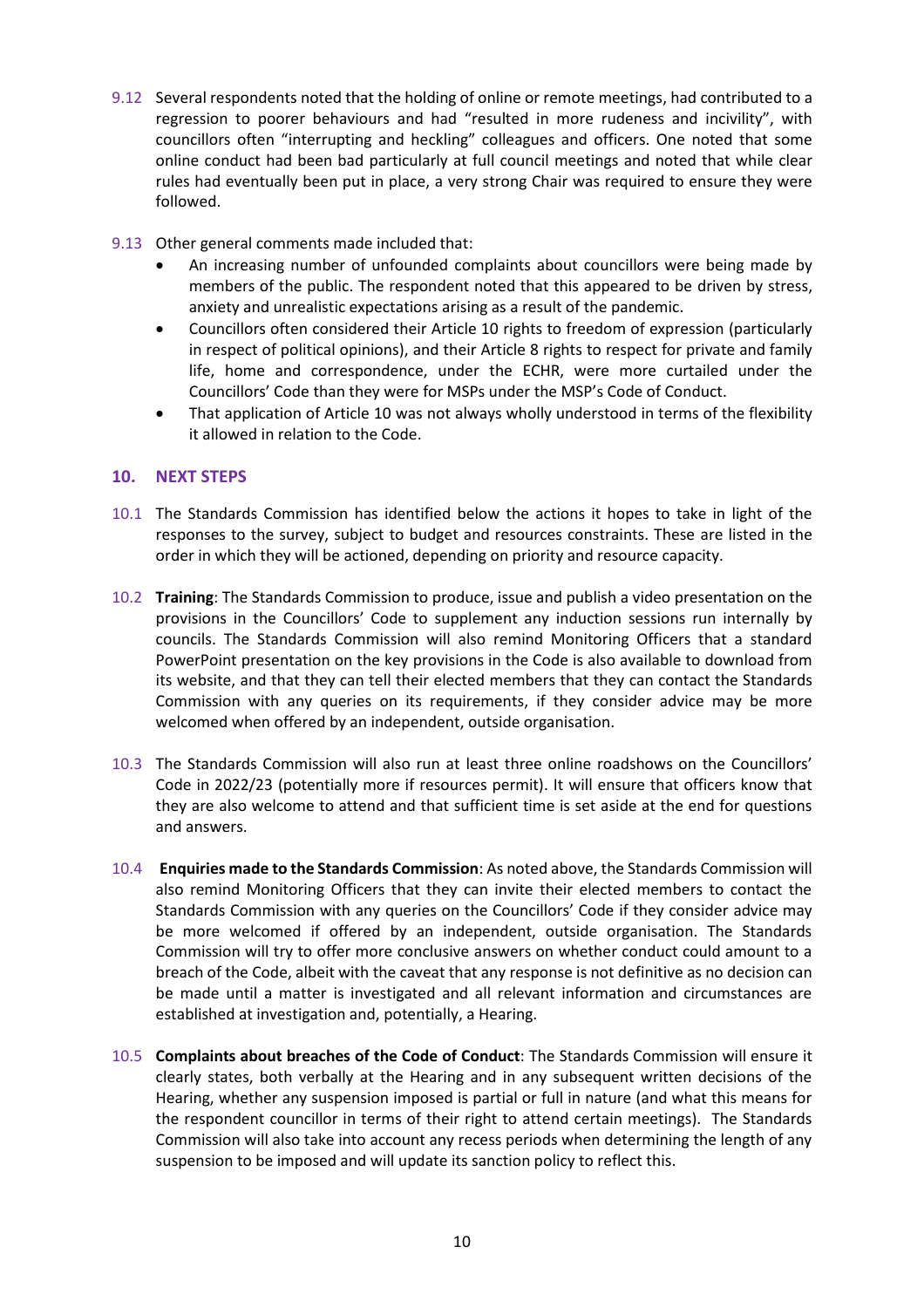- 9.12 Several respondents noted that the holding of online or remote meetings, had contributed to a regression to poorer behaviours and had "resulted in more rudeness and incivility", with councillors often "interrupting and heckling" colleagues and officers. One noted that some online conduct had been bad particularly at full council meetings and noted that while clear rules had eventually been put in place, a very strong Chair was required to ensure they were followed.
- 9.13 Other general comments made included that:
	- An increasing number of unfounded complaints about councillors were being made by members of the public. The respondent noted that this appeared to be driven by stress, anxiety and unrealistic expectations arising as a result of the pandemic.
	- Councillors often considered their Article 10 rights to freedom of expression (particularly in respect of political opinions), and their Article 8 rights to respect for private and family life, home and correspondence, under the ECHR, were more curtailed under the Councillors' Code than they were for MSPs under the MSP's Code of Conduct.
	- That application of Article 10 was not always wholly understood in terms of the flexibility it allowed in relation to the Code.

# **10. NEXT STEPS**

- 10.1 The Standards Commission has identified below the actions it hopes to take in light of the responses to the survey, subject to budget and resources constraints. These are listed in the order in which they will be actioned, depending on priority and resource capacity.
- 10.2 **Training**: The Standards Commission to produce, issue and publish a video presentation on the provisions in the Councillors' Code to supplement any induction sessions run internally by councils. The Standards Commission will also remind Monitoring Officers that a standard PowerPoint presentation on the key provisions in the Code is also available to download from its website, and that they can tell their elected members that they can contact the Standards Commission with any queries on its requirements, if they consider advice may be more welcomed when offered by an independent, outside organisation.
- 10.3 The Standards Commission will also run at least three online roadshows on the Councillors' Code in 2022/23 (potentially more if resources permit). It will ensure that officers know that they are also welcome to attend and that sufficient time is set aside at the end for questions and answers.
- 10.4 **Enquiries made to the Standards Commission**: As noted above, the Standards Commission will also remind Monitoring Officers that they can invite their elected members to contact the Standards Commission with any queries on the Councillors' Code if they consider advice may be more welcomed if offered by an independent, outside organisation. The Standards Commission will try to offer more conclusive answers on whether conduct could amount to a breach of the Code, albeit with the caveat that any response is not definitive as no decision can be made until a matter is investigated and all relevant information and circumstances are established at investigation and, potentially, a Hearing.
- 10.5 **Complaints about breaches of the Code of Conduct**: The Standards Commission will ensure it clearly states, both verbally at the Hearing and in any subsequent written decisions of the Hearing, whether any suspension imposed is partial or full in nature (and what this means for the respondent councillor in terms of their right to attend certain meetings). The Standards Commission will also take into account any recess periods when determining the length of any suspension to be imposed and will update its sanction policy to reflect this.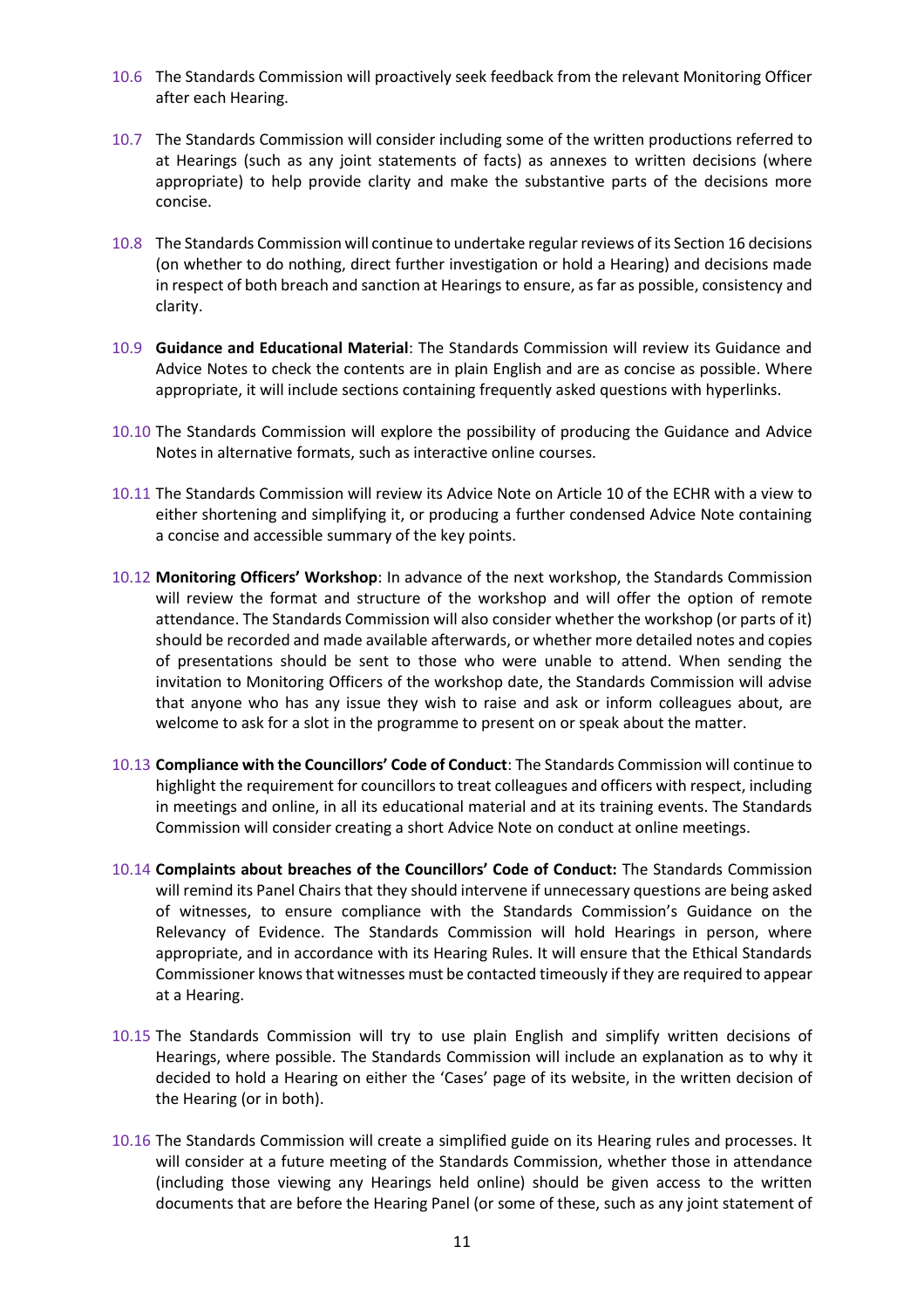- 10.6 The Standards Commission will proactively seek feedback from the relevant Monitoring Officer after each Hearing.
- 10.7 The Standards Commission will consider including some of the written productions referred to at Hearings (such as any joint statements of facts) as annexes to written decisions (where appropriate) to help provide clarity and make the substantive parts of the decisions more concise.
- 10.8 The Standards Commission will continue to undertake regular reviews of its Section 16 decisions (on whether to do nothing, direct further investigation or hold a Hearing) and decisions made in respect of both breach and sanction at Hearings to ensure, as far as possible, consistency and clarity.
- 10.9 **Guidance and Educational Material**: The Standards Commission will review its Guidance and Advice Notes to check the contents are in plain English and are as concise as possible. Where appropriate, it will include sections containing frequently asked questions with hyperlinks.
- 10.10 The Standards Commission will explore the possibility of producing the Guidance and Advice Notes in alternative formats, such as interactive online courses.
- 10.11 The Standards Commission will review its Advice Note on Article 10 of the ECHR with a view to either shortening and simplifying it, or producing a further condensed Advice Note containing a concise and accessible summary of the key points.
- 10.12 **Monitoring Officers' Workshop**: In advance of the next workshop, the Standards Commission will review the format and structure of the workshop and will offer the option of remote attendance. The Standards Commission will also consider whether the workshop (or parts of it) should be recorded and made available afterwards, or whether more detailed notes and copies of presentations should be sent to those who were unable to attend. When sending the invitation to Monitoring Officers of the workshop date, the Standards Commission will advise that anyone who has any issue they wish to raise and ask or inform colleagues about, are welcome to ask for a slot in the programme to present on or speak about the matter.
- 10.13 **Compliance with the Councillors' Code of Conduct**: The Standards Commission will continue to highlight the requirement for councillors to treat colleagues and officers with respect, including in meetings and online, in all its educational material and at its training events. The Standards Commission will consider creating a short Advice Note on conduct at online meetings.
- 10.14 **Complaints about breaches of the Councillors' Code of Conduct:** The Standards Commission will remind its Panel Chairs that they should intervene if unnecessary questions are being asked of witnesses, to ensure compliance with the Standards Commission's Guidance on the Relevancy of Evidence. The Standards Commission will hold Hearings in person, where appropriate, and in accordance with its Hearing Rules. It will ensure that the Ethical Standards Commissioner knows that witnesses must be contacted timeously if they are required to appear at a Hearing.
- 10.15 The Standards Commission will try to use plain English and simplify written decisions of Hearings, where possible. The Standards Commission will include an explanation as to why it decided to hold a Hearing on either the 'Cases' page of its website, in the written decision of the Hearing (or in both).
- 10.16 The Standards Commission will create a simplified guide on its Hearing rules and processes. It will consider at a future meeting of the Standards Commission, whether those in attendance (including those viewing any Hearings held online) should be given access to the written documents that are before the Hearing Panel (or some of these, such as any joint statement of